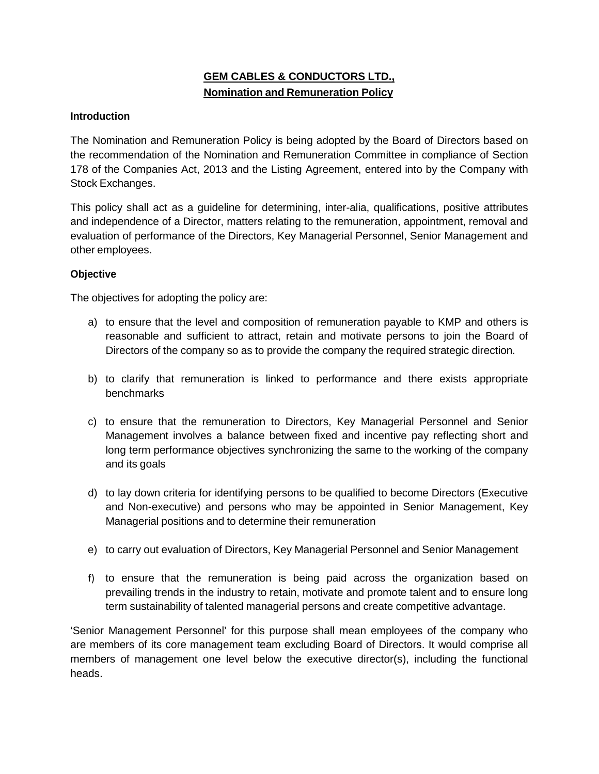# **GEM CABLES & CONDUCTORS LTD., Nomination and Remuneration Policy**

# **Introduction**

The Nomination and Remuneration Policy is being adopted by the Board of Directors based on the recommendation of the Nomination and Remuneration Committee in compliance of Section 178 of the Companies Act, 2013 and the Listing Agreement, entered into by the Company with Stock Exchanges.

This policy shall act as a guideline for determining, inter-alia, qualifications, positive attributes and independence of a Director, matters relating to the remuneration, appointment, removal and evaluation of performance of the Directors, Key Managerial Personnel, Senior Management and other employees.

## **Objective**

The objectives for adopting the policy are:

- a) to ensure that the level and composition of remuneration payable to KMP and others is reasonable and sufficient to attract, retain and motivate persons to join the Board of Directors of the company so as to provide the company the required strategic direction.
- b) to clarify that remuneration is linked to performance and there exists appropriate benchmarks
- c) to ensure that the remuneration to Directors, Key Managerial Personnel and Senior Management involves a balance between fixed and incentive pay reflecting short and long term performance objectives synchronizing the same to the working of the company and its goals
- d) to lay down criteria for identifying persons to be qualified to become Directors (Executive and Non-executive) and persons who may be appointed in Senior Management, Key Managerial positions and to determine their remuneration
- e) to carry out evaluation of Directors, Key Managerial Personnel and Senior Management
- f) to ensure that the remuneration is being paid across the organization based on prevailing trends in the industry to retain, motivate and promote talent and to ensure long term sustainability of talented managerial persons and create competitive advantage.

'Senior Management Personnel' for this purpose shall mean employees of the company who are members of its core management team excluding Board of Directors. It would comprise all members of management one level below the executive director(s), including the functional heads.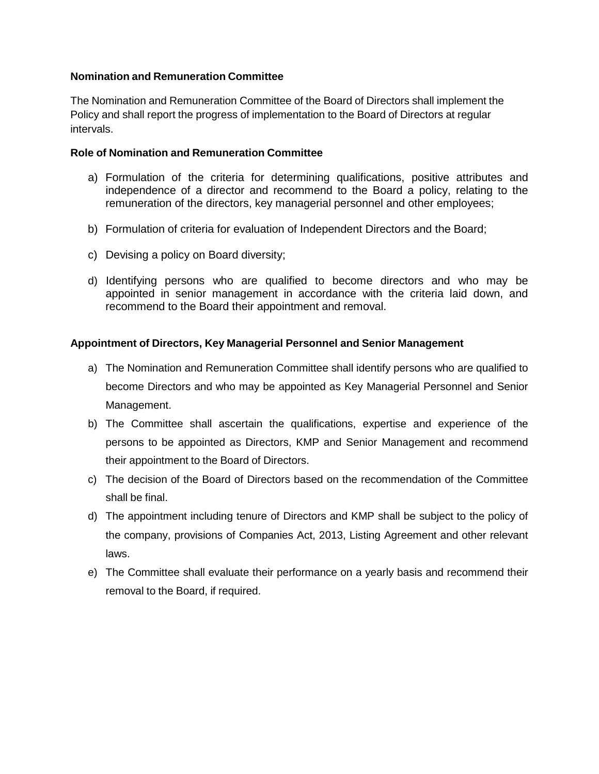## **Nomination and Remuneration Committee**

The Nomination and Remuneration Committee of the Board of Directors shall implement the Policy and shall report the progress of implementation to the Board of Directors at regular intervals.

#### **Role of Nomination and Remuneration Committee**

- a) Formulation of the criteria for determining qualifications, positive attributes and independence of a director and recommend to the Board a policy, relating to the remuneration of the directors, key managerial personnel and other employees;
- b) Formulation of criteria for evaluation of Independent Directors and the Board;
- c) Devising a policy on Board diversity;
- d) Identifying persons who are qualified to become directors and who may be appointed in senior management in accordance with the criteria laid down, and recommend to the Board their appointment and removal.

## **Appointment of Directors, Key Managerial Personnel and Senior Management**

- a) The Nomination and Remuneration Committee shall identify persons who are qualified to become Directors and who may be appointed as Key Managerial Personnel and Senior Management.
- b) The Committee shall ascertain the qualifications, expertise and experience of the persons to be appointed as Directors, KMP and Senior Management and recommend their appointment to the Board of Directors.
- c) The decision of the Board of Directors based on the recommendation of the Committee shall be final.
- d) The appointment including tenure of Directors and KMP shall be subject to the policy of the company, provisions of Companies Act, 2013, Listing Agreement and other relevant laws.
- e) The Committee shall evaluate their performance on a yearly basis and recommend their removal to the Board, if required.